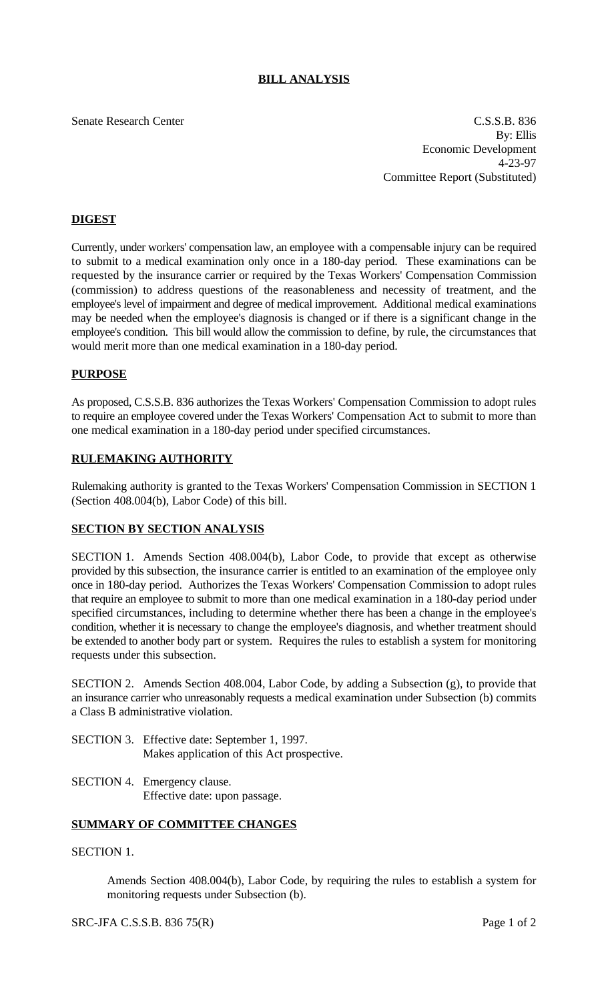### **BILL ANALYSIS**

Senate Research Center C.S.S.B. 836 By: Ellis Economic Development 4-23-97 Committee Report (Substituted)

#### **DIGEST**

Currently, under workers' compensation law, an employee with a compensable injury can be required to submit to a medical examination only once in a 180-day period. These examinations can be requested by the insurance carrier or required by the Texas Workers' Compensation Commission (commission) to address questions of the reasonableness and necessity of treatment, and the employee's level of impairment and degree of medical improvement. Additional medical examinations may be needed when the employee's diagnosis is changed or if there is a significant change in the employee's condition. This bill would allow the commission to define, by rule, the circumstances that would merit more than one medical examination in a 180-day period.

#### **PURPOSE**

As proposed, C.S.S.B. 836 authorizes the Texas Workers' Compensation Commission to adopt rules to require an employee covered under the Texas Workers' Compensation Act to submit to more than one medical examination in a 180-day period under specified circumstances.

#### **RULEMAKING AUTHORITY**

Rulemaking authority is granted to the Texas Workers' Compensation Commission in SECTION 1 (Section 408.004(b), Labor Code) of this bill.

#### **SECTION BY SECTION ANALYSIS**

SECTION 1. Amends Section 408.004(b), Labor Code, to provide that except as otherwise provided by this subsection, the insurance carrier is entitled to an examination of the employee only once in 180-day period. Authorizes the Texas Workers' Compensation Commission to adopt rules that require an employee to submit to more than one medical examination in a 180-day period under specified circumstances, including to determine whether there has been a change in the employee's condition, whether it is necessary to change the employee's diagnosis, and whether treatment should be extended to another body part or system. Requires the rules to establish a system for monitoring requests under this subsection.

SECTION 2. Amends Section 408.004, Labor Code, by adding a Subsection (g), to provide that an insurance carrier who unreasonably requests a medical examination under Subsection (b) commits a Class B administrative violation.

- SECTION 3. Effective date: September 1, 1997. Makes application of this Act prospective.
- SECTION 4. Emergency clause. Effective date: upon passage.

#### **SUMMARY OF COMMITTEE CHANGES**

### SECTION 1.

Amends Section 408.004(b), Labor Code, by requiring the rules to establish a system for monitoring requests under Subsection (b).

SRC-JFA C.S.S.B. 836 75(R) Page 1 of 2